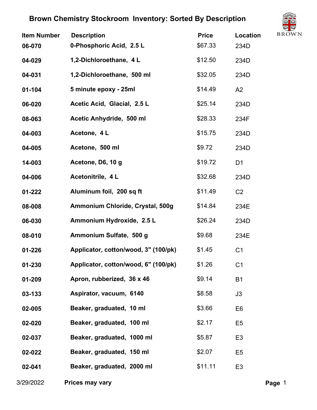

| <b>Item Number</b> | <b>Description</b>                   | <b>Price</b> | 92<br><b>BROW</b><br>Location |
|--------------------|--------------------------------------|--------------|-------------------------------|
| 06-070             | 0-Phosphoric Acid, 2.5 L             | \$67.33      | 234D                          |
| 04-029             | 1,2-Dichloroethane, 4L               | \$12.50      | 234D                          |
| 04-031             | 1,2-Dichloroethane, 500 ml           | \$32.05      | 234D                          |
| $01 - 104$         | 5 minute epoxy - 25ml                | \$14.49      | A2                            |
| 06-020             | Acetic Acid, Glacial, 2.5 L          | \$25.14      | 234D                          |
| 08-063             | Acetic Anhydride, 500 ml             | \$28.33      | 234F                          |
| 04-003             | Acetone, 4 L                         | \$15.75      | 234D                          |
| 04-005             | Acetone, 500 ml                      | \$9.72       | 234D                          |
| 14-003             | Acetone, D6, 10 g                    | \$19.72      | D <sub>1</sub>                |
| 04-006             | Acetonitrile, 4L                     | \$32.68      | 234D                          |
| 01-222             | Aluminum foil, 200 sq ft             | \$11.49      | C <sub>2</sub>                |
| 08-008             | Ammonium Chloride, Crystal, 500g     | \$14.84      | 234E                          |
| 06-030             | Ammonium Hydroxide, 2.5 L            | \$26.24      | 234D                          |
| 08-010             | Ammonium Sulfate, 500 g              | \$9.68       | 234E                          |
| 01-226             | Applicator, cotton/wood, 3" (100/pk) | \$1.45       | C <sub>1</sub>                |
| 01-230             | Applicator, cotton/wood, 6" (100/pk) | \$1.26       | C <sub>1</sub>                |
| 01-209             | Apron, rubberized, 36 x 46           | \$9.14       | <b>B1</b>                     |
| 03-133             | Aspirator, vacuum, 6140              | \$8.58       | J3                            |
| 02-005             | Beaker, graduated, 10 ml             | \$3.66       | E <sub>6</sub>                |
| 02-020             | Beaker, graduated, 100 ml            | \$2.17       | E <sub>5</sub>                |
| 02-037             | Beaker, graduated, 1000 ml           | \$5.87       | E <sub>3</sub>                |
| 02-022             | Beaker, graduated, 150 ml            | \$2.07       | E <sub>5</sub>                |
| 02-041             | Beaker, graduated, 2000 ml           | \$11.11      | E <sub>3</sub>                |
|                    |                                      |              |                               |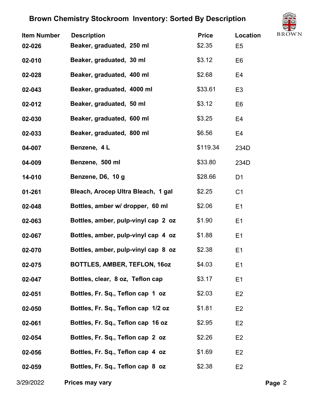

| <b>Item Number</b> | <b>Description</b>                  | <b>Price</b> | <b>Location</b> | $\smile$<br><b>BROW</b> |
|--------------------|-------------------------------------|--------------|-----------------|-------------------------|
| 02-026             | Beaker, graduated, 250 ml           | \$2.35       | E <sub>5</sub>  |                         |
| 02-010             | Beaker, graduated, 30 ml            | \$3.12       | E <sub>6</sub>  |                         |
| 02-028             | Beaker, graduated, 400 ml           | \$2.68       | E4              |                         |
| 02-043             | Beaker, graduated, 4000 ml          | \$33.61      | E <sub>3</sub>  |                         |
| 02-012             | Beaker, graduated, 50 ml            | \$3.12       | E <sub>6</sub>  |                         |
| 02-030             | Beaker, graduated, 600 ml           | \$3.25       | E <sub>4</sub>  |                         |
| 02-033             | Beaker, graduated, 800 ml           | \$6.56       | E4              |                         |
| 04-007             | Benzene, 4L                         | \$119.34     | 234D            |                         |
| 04-009             | Benzene, 500 ml                     | \$33.80      | 234D            |                         |
| 14-010             | Benzene, D6, 10 g                   | \$28.66      | D <sub>1</sub>  |                         |
| 01-261             | Bleach, Arocep Ultra Bleach, 1 gal  | \$2.25       | C <sub>1</sub>  |                         |
| 02-048             | Bottles, amber w/ dropper, 60 ml    | \$2.06       | E1              |                         |
| 02-063             | Bottles, amber, pulp-vinyl cap 2 oz | \$1.90       | E1              |                         |
| 02-067             | Bottles, amber, pulp-vinyl cap 4 oz | \$1.88       | E1              |                         |
| 02-070             | Bottles, amber, pulp-vinyl cap 8 oz | \$2.38       | E <sub>1</sub>  |                         |
| 02-075             | <b>BOTTLES, AMBER, TEFLON, 160Z</b> | \$4.03       | E1              |                         |
| 02-047             | Bottles, clear, 8 oz, Teflon cap    | \$3.17       | E1              |                         |
| 02-051             | Bottles, Fr. Sq., Teflon cap 1 oz   | \$2.03       | E <sub>2</sub>  |                         |
| 02-050             | Bottles, Fr. Sq., Teflon cap 1/2 oz | \$1.81       | E <sub>2</sub>  |                         |
| 02-061             | Bottles, Fr. Sq., Teflon cap 16 oz  | \$2.95       | E <sub>2</sub>  |                         |
| 02-054             | Bottles, Fr. Sq., Teflon cap 2 oz   | \$2.26       | E <sub>2</sub>  |                         |
| 02-056             | Bottles, Fr. Sq., Teflon cap 4 oz   | \$1.69       | E <sub>2</sub>  |                         |
| 02-059             | Bottles, Fr. Sq., Teflon cap 8 oz   | \$2.38       | E <sub>2</sub>  |                         |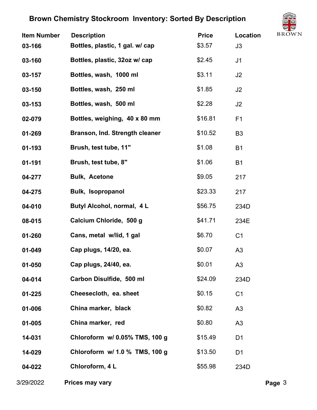

| <b>Item Number</b><br>03-166 | <b>Description</b><br>Bottles, plastic, 1 gal. w/ cap | <b>Price</b><br>\$3.57 | Location<br>J3 | ◡<br><b>BROW</b> |
|------------------------------|-------------------------------------------------------|------------------------|----------------|------------------|
| 03-160                       | Bottles, plastic, 32oz w/ cap                         | \$2.45                 | J1             |                  |
| 03-157                       | Bottles, wash, 1000 ml                                | \$3.11                 | J2             |                  |
| 03-150                       | Bottles, wash, 250 ml                                 | \$1.85                 | J2             |                  |
| 03-153                       | Bottles, wash, 500 ml                                 | \$2.28                 | J2             |                  |
| 02-079                       | Bottles, weighing, 40 x 80 mm                         | \$16.81                | F <sub>1</sub> |                  |
| 01-269                       | Branson, Ind. Strength cleaner                        | \$10.52                | B <sub>3</sub> |                  |
| 01-193                       | Brush, test tube, 11"                                 | \$1.08                 | <b>B1</b>      |                  |
| 01-191                       | Brush, test tube, 8"                                  | \$1.06                 | <b>B1</b>      |                  |
| 04-277                       | <b>Bulk, Acetone</b>                                  | \$9.05                 | 217            |                  |
| 04-275                       | <b>Bulk, Isopropanol</b>                              | \$23.33                | 217            |                  |
| 04-010                       | Butyl Alcohol, normal, 4L                             | \$56.75                | 234D           |                  |
| 08-015                       | Calcium Chloride, 500 g                               | \$41.71                | 234E           |                  |
| 01-260                       | Cans, metal w/lid, 1 gal                              | \$6.70                 | C <sub>1</sub> |                  |
| $01 - 049$                   | Cap plugs, 14/20, ea.                                 | \$0.07                 | A3             |                  |
| $01 - 050$                   | Cap plugs, 24/40, ea.                                 | \$0.01                 | A <sub>3</sub> |                  |
| 04-014                       | Carbon Disulfide, 500 ml                              | \$24.09                | 234D           |                  |
| $01 - 225$                   | Cheesecloth, ea. sheet                                | \$0.15                 | C <sub>1</sub> |                  |
| 01-006                       | China marker, black                                   | \$0.82                 | A <sub>3</sub> |                  |
| 01-005                       | China marker, red                                     | \$0.80                 | A3             |                  |
| 14-031                       | Chloroform w/ 0.05% TMS, 100 g                        | \$15.49                | D <sub>1</sub> |                  |
| 14-029                       | Chloroform w/ 1.0 % TMS, 100 g                        | \$13.50                | D <sub>1</sub> |                  |
| 04-022                       | Chloroform, 4L                                        | \$55.98                | 234D           |                  |
|                              |                                                       |                        |                |                  |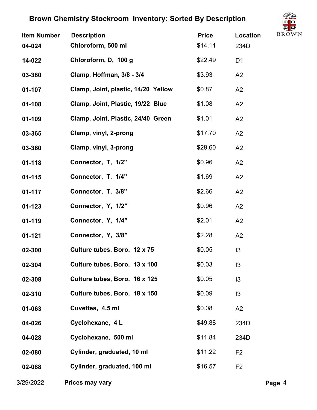

| <b>Item Number</b><br>04-024 | <b>Description</b><br>Chloroform, 500 ml | <b>Price</b><br>\$14.11 | $\searrow$<br><b>BROW</b><br><b>Location</b><br>234D |
|------------------------------|------------------------------------------|-------------------------|------------------------------------------------------|
| 14-022                       | Chloroform, D. 100 g                     | \$22.49                 | D <sub>1</sub>                                       |
| 03-380                       | Clamp, Hoffman, 3/8 - 3/4                | \$3.93                  | A2                                                   |
| 01-107                       | Clamp, Joint, plastic, 14/20 Yellow      | \$0.87                  | A2                                                   |
| $01 - 108$                   | Clamp, Joint, Plastic, 19/22 Blue        | \$1.08                  | A2                                                   |
| 01-109                       | Clamp, Joint, Plastic, 24/40 Green       | \$1.01                  | A2                                                   |
| 03-365                       | Clamp, vinyl, 2-prong                    | \$17.70                 | A2                                                   |
| 03-360                       | Clamp, vinyl, 3-prong                    | \$29.60                 | A2                                                   |
| $01 - 118$                   | Connector, T, 1/2"                       | \$0.96                  | A2                                                   |
| $01 - 115$                   | Connector, T, 1/4"                       | \$1.69                  | A2                                                   |
| $01 - 117$                   | Connector, T, 3/8"                       | \$2.66                  | A2                                                   |
| $01 - 123$                   | Connector, Y, 1/2"                       | \$0.96                  | A2                                                   |
| $01 - 119$                   | Connector, Y, 1/4"                       | \$2.01                  | A2                                                   |
| $01 - 121$                   | Connector, Y, 3/8"                       | \$2.28                  | A2                                                   |
| 02-300                       | Culture tubes, Boro. 12 x 75             | \$0.05                  | 13                                                   |
| 02-304                       | Culture tubes, Boro. 13 x 100            | \$0.03                  | $\overline{3}$                                       |
| 02-308                       | Culture tubes, Boro. 16 x 125            | \$0.05                  | $\overline{3}$                                       |
| 02-310                       | Culture tubes, Boro. 18 x 150            | \$0.09                  | 3                                                    |
| 01-063                       | Cuvettes, 4.5 ml                         | \$0.08                  | A2                                                   |
| 04-026                       | Cyclohexane, 4L                          | \$49.88                 | 234D                                                 |
| 04-028                       | Cyclohexane, 500 ml                      | \$11.84                 | 234D                                                 |
| 02-080                       | Cylinder, graduated, 10 ml               | \$11.22                 | F <sub>2</sub>                                       |
| 02-088                       | Cylinder, graduated, 100 ml              | \$16.57                 | F <sub>2</sub>                                       |
|                              |                                          |                         |                                                      |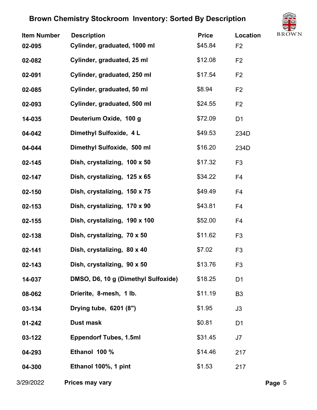

| <b>Item Number</b><br>02-095 | <b>Description</b><br>Cylinder, graduated, 1000 ml | <b>Price</b><br>\$45.84 | $\smile$<br><b>BROW</b><br><b>Location</b><br>F <sub>2</sub> |
|------------------------------|----------------------------------------------------|-------------------------|--------------------------------------------------------------|
| 02-082                       | Cylinder, graduated, 25 ml                         | \$12.08                 | F <sub>2</sub>                                               |
| 02-091                       | Cylinder, graduated, 250 ml                        | \$17.54                 | F <sub>2</sub>                                               |
| 02-085                       | Cylinder, graduated, 50 ml                         | \$8.94                  | F <sub>2</sub>                                               |
| 02-093                       | Cylinder, graduated, 500 ml                        | \$24.55                 | F <sub>2</sub>                                               |
| 14-035                       | Deuterium Oxide, 100 g                             | \$72.09                 | D <sub>1</sub>                                               |
| 04-042                       | Dimethyl Sulfoxide, 4 L                            | \$49.53                 | 234D                                                         |
| 04-044                       | Dimethyl Sulfoxide, 500 ml                         | \$16.20                 | 234D                                                         |
| 02-145                       | Dish, crystalizing, 100 x 50                       | \$17.32                 | F <sub>3</sub>                                               |
| 02-147                       | Dish, crystalizing, 125 x 65                       | \$34.22                 | F <sub>4</sub>                                               |
| 02-150                       | Dish, crystalizing, 150 x 75                       | \$49.49                 | F4                                                           |
| 02-153                       | Dish, crystalizing, 170 x 90                       | \$43.81                 | F <sub>4</sub>                                               |
| 02-155                       | Dish, crystalizing, 190 x 100                      | \$52.00                 | F <sub>4</sub>                                               |
| 02-138                       | Dish, crystalizing, 70 x 50                        | \$11.62                 | F <sub>3</sub>                                               |
| 02-141                       | Dish, crystalizing, 80 x 40                        | \$7.02                  | F <sub>3</sub>                                               |
| 02-143                       | Dish, crystalizing, 90 x 50                        | \$13.76                 | F <sub>3</sub>                                               |
| 14-037                       | DMSO, D6, 10 g (Dimethyl Sulfoxide)                | \$18.25                 | D <sub>1</sub>                                               |
| 08-062                       | Drierite, 8-mesh, 1 lb.                            | \$11.19                 | B <sub>3</sub>                                               |
| 03-134                       | Drying tube, 6201 (8")                             | \$1.95                  | J3                                                           |
| $01 - 242$                   | <b>Dust mask</b>                                   | \$0.81                  | D <sub>1</sub>                                               |
| 03-122                       | <b>Eppendorf Tubes, 1.5ml</b>                      | \$31.45                 | J7                                                           |
| 04-293                       | Ethanol 100 %                                      | \$14.46                 | 217                                                          |
| 04-300                       | Ethanol 100%, 1 pint                               | \$1.53                  | 217                                                          |
|                              |                                                    |                         |                                                              |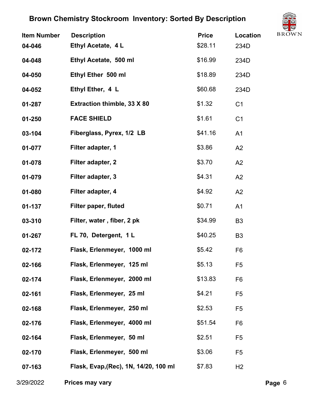

| <b>Item Number</b><br>04-046 | <b>Description</b><br>Ethyl Acetate, 4L | <b>Price</b><br>\$28.11 | $\cup$<br><b>BROW</b><br><b>Location</b><br>234D |
|------------------------------|-----------------------------------------|-------------------------|--------------------------------------------------|
| 04-048                       | Ethyl Acetate, 500 ml                   | \$16.99                 | 234D                                             |
| 04-050                       | Ethyl Ether 500 ml                      | \$18.89                 | 234D                                             |
| 04-052                       | Ethyl Ether, 4 L                        | \$60.68                 | 234D                                             |
| 01-287                       | <b>Extraction thimble, 33 X 80</b>      | \$1.32                  | C <sub>1</sub>                                   |
| $01 - 250$                   | <b>FACE SHIELD</b>                      | \$1.61                  | C <sub>1</sub>                                   |
| 03-104                       | Fiberglass, Pyrex, 1/2 LB               | \$41.16                 | A1                                               |
| 01-077                       | Filter adapter, 1                       | \$3.86                  | A2                                               |
| 01-078                       | Filter adapter, 2                       | \$3.70                  | A2                                               |
| 01-079                       | Filter adapter, 3                       | \$4.31                  | A2                                               |
| 01-080                       | Filter adapter, 4                       | \$4.92                  | A2                                               |
| 01-137                       | Filter paper, fluted                    | \$0.71                  | A <sub>1</sub>                                   |
| 03-310                       | Filter, water, fiber, 2 pk              | \$34.99                 | B <sub>3</sub>                                   |
| 01-267                       | FL 70, Detergent, 1L                    | \$40.25                 | B <sub>3</sub>                                   |
| 02-172                       | Flask, Erlenmeyer, 1000 ml              | \$5.42                  | F <sub>6</sub>                                   |
| 02-166                       | Flask, Erlenmeyer, 125 ml               | \$5.13                  | F <sub>5</sub>                                   |
| 02-174                       | Flask, Erlenmeyer, 2000 ml              | \$13.83                 | F <sub>6</sub>                                   |
| 02-161                       | Flask, Erlenmeyer, 25 ml                | \$4.21                  | F <sub>5</sub>                                   |
| 02-168                       | Flask, Erlenmeyer, 250 ml               | \$2.53                  | F <sub>5</sub>                                   |
| 02-176                       | Flask, Erlenmeyer, 4000 ml              | \$51.54                 | F <sub>6</sub>                                   |
| 02-164                       | Flask, Erlenmeyer, 50 ml                | \$2.51                  | F <sub>5</sub>                                   |
| 02-170                       | Flask, Erlenmeyer, 500 ml               | \$3.06                  | F <sub>5</sub>                                   |
| 07-163                       | Flask, Evap, (Rec), 1N, 14/20, 100 ml   | \$7.83                  | H <sub>2</sub>                                   |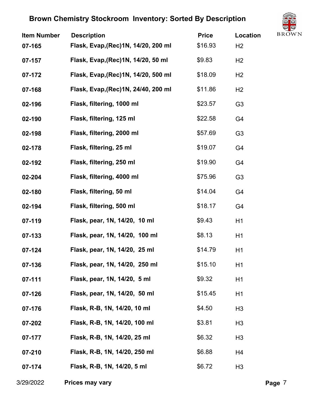

| <b>Item Number</b> | <b>Description</b>                   | <b>Price</b> | $\cup$<br><b>BROW</b><br><b>Location</b> |
|--------------------|--------------------------------------|--------------|------------------------------------------|
| 07-165             | Flask, Evap, (Rec) 1N, 14/20, 200 ml | \$16.93      | H <sub>2</sub>                           |
| 07-157             | Flask, Evap, (Rec) 1N, 14/20, 50 ml  | \$9.83       | H <sub>2</sub>                           |
| 07-172             | Flask, Evap, (Rec) 1N, 14/20, 500 ml | \$18.09      | H <sub>2</sub>                           |
| 07-168             | Flask, Evap, (Rec) 1N, 24/40, 200 ml | \$11.86      | H <sub>2</sub>                           |
| 02-196             | Flask, filtering, 1000 ml            | \$23.57      | G <sub>3</sub>                           |
| 02-190             | Flask, filtering, 125 ml             | \$22.58      | G <sub>4</sub>                           |
| 02-198             | Flask, filtering, 2000 ml            | \$57.69      | G <sub>3</sub>                           |
| 02-178             | Flask, filtering, 25 ml              | \$19.07      | G <sub>4</sub>                           |
| 02-192             | Flask, filtering, 250 ml             | \$19.90      | G <sub>4</sub>                           |
| 02-204             | Flask, filtering, 4000 ml            | \$75.96      | G <sub>3</sub>                           |
| 02-180             | Flask, filtering, 50 ml              | \$14.04      | G4                                       |
| 02-194             | Flask, filtering, 500 ml             | \$18.17      | G <sub>4</sub>                           |
| 07-119             | Flask, pear, 1N, 14/20, 10 ml        | \$9.43       | H1                                       |
| 07-133             | Flask, pear, 1N, 14/20, 100 ml       | \$8.13       | H1                                       |
| 07-124             | Flask, pear, 1N, 14/20, 25 ml        | \$14.79      | H1                                       |
| 07-136             | Flask, pear, 1N, 14/20, 250 ml       | \$15.10      | H1                                       |
| 07-111             | Flask, pear, 1N, 14/20, 5 ml         | \$9.32       | H1                                       |
| 07-126             | Flask, pear, 1N, 14/20, 50 ml        | \$15.45      | H1                                       |
| 07-176             | Flask, R-B, 1N, 14/20, 10 ml         | \$4.50       | H <sub>3</sub>                           |
| 07-202             | Flask, R-B, 1N, 14/20, 100 ml        | \$3.81       | H <sub>3</sub>                           |
| 07-177             | Flask, R-B, 1N, 14/20, 25 ml         | \$6.32       | H <sub>3</sub>                           |
| 07-210             | Flask, R-B, 1N, 14/20, 250 ml        | \$6.88       | H4                                       |
| 07-174             | Flask, R-B, 1N, 14/20, 5 ml          | \$6.72       | H <sub>3</sub>                           |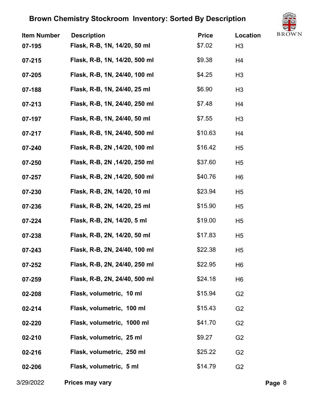

| <b>Item Number</b><br>07-195 | <b>Description</b><br>Flask, R-B, 1N, 14/20, 50 ml | <b>Price</b><br>\$7.02 | $\smile$<br><b>BROW</b><br><b>Location</b><br>H <sub>3</sub> |
|------------------------------|----------------------------------------------------|------------------------|--------------------------------------------------------------|
| 07-215                       | Flask, R-B, 1N, 14/20, 500 ml                      | \$9.38                 | H4                                                           |
| 07-205                       | Flask, R-B, 1N, 24/40, 100 ml                      | \$4.25                 | H <sub>3</sub>                                               |
| 07-188                       | Flask, R-B, 1N, 24/40, 25 ml                       | \$6.90                 | H <sub>3</sub>                                               |
| 07-213                       | Flask, R-B, 1N, 24/40, 250 ml                      | \$7.48                 | H4                                                           |
| 07-197                       | Flask, R-B, 1N, 24/40, 50 ml                       | \$7.55                 | H3                                                           |
| 07-217                       | Flask, R-B, 1N, 24/40, 500 ml                      | \$10.63                | H <sub>4</sub>                                               |
| 07-240                       | Flask, R-B, 2N, 14/20, 100 ml                      | \$16.42                | H <sub>5</sub>                                               |
| 07-250                       | Flask, R-B, 2N, 14/20, 250 ml                      | \$37.60                | H <sub>5</sub>                                               |
| 07-257                       | Flask, R-B, 2N, 14/20, 500 ml                      | \$40.76                | H <sub>6</sub>                                               |
| 07-230                       | Flask, R-B, 2N, 14/20, 10 ml                       | \$23.94                | H <sub>5</sub>                                               |
| 07-236                       | Flask, R-B, 2N, 14/20, 25 ml                       | \$15.90                | H <sub>5</sub>                                               |
| 07-224                       | Flask, R-B, 2N, 14/20, 5 ml                        | \$19.00                | H <sub>5</sub>                                               |
| 07-238                       | Flask, R-B, 2N, 14/20, 50 ml                       | \$17.83                | H <sub>5</sub>                                               |
| 07-243                       | Flask, R-B, 2N, 24/40, 100 ml                      | \$22.38                | H <sub>5</sub>                                               |
| 07-252                       | Flask, R-B, 2N, 24/40, 250 ml                      | \$22.95                | H6                                                           |
| 07-259                       | Flask, R-B, 2N, 24/40, 500 ml                      | \$24.18                | H <sub>6</sub>                                               |
| 02-208                       | Flask, volumetric, 10 ml                           | \$15.94                | G <sub>2</sub>                                               |
| 02-214                       | Flask, volumetric, 100 ml                          | \$15.43                | G <sub>2</sub>                                               |
| 02-220                       | Flask, volumetric, 1000 ml                         | \$41.70                | G <sub>2</sub>                                               |
| 02-210                       | Flask, volumetric, 25 ml                           | \$9.27                 | G <sub>2</sub>                                               |
| 02-216                       | Flask, volumetric, 250 ml                          | \$25.22                | G <sub>2</sub>                                               |
| 02-206                       | Flask, volumetric, 5 ml                            | \$14.79                | G <sub>2</sub>                                               |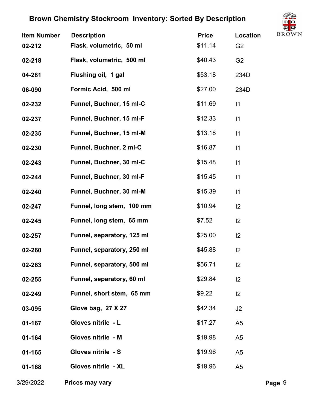

| <b>Item Number</b><br>02-212 | <b>Description</b><br>Flask, volumetric, 50 ml | <b>Price</b><br>\$11.14 | ╰┻<br><b>BROW</b><br>Location<br>G <sub>2</sub> |
|------------------------------|------------------------------------------------|-------------------------|-------------------------------------------------|
| 02-218                       | Flask, volumetric, 500 ml                      | \$40.43                 | G <sub>2</sub>                                  |
| 04-281                       | Flushing oil, 1 gal                            | \$53.18                 | 234D                                            |
| 06-090                       | Formic Acid, 500 ml                            | \$27.00                 | 234D                                            |
| 02-232                       | Funnel, Buchner, 15 ml-C                       | \$11.69                 | $\vert$ 1                                       |
| 02-237                       | Funnel, Buchner, 15 ml-F                       | \$12.33                 | $\vert$ 1                                       |
| 02-235                       | Funnel, Buchner, 15 ml-M                       | \$13.18                 | $\vert$ 1                                       |
| 02-230                       | Funnel, Buchner, 2 ml-C                        | \$16.87                 | 1                                               |
| 02-243                       | Funnel, Buchner, 30 ml-C                       | \$15.48                 | $\vert$ 1                                       |
| 02-244                       | Funnel, Buchner, 30 ml-F                       | \$15.45                 | 1                                               |
| 02-240                       | Funnel, Buchner, 30 ml-M                       | \$15.39                 | 1                                               |
| 02-247                       | Funnel, long stem, 100 mm                      | \$10.94                 | 2                                               |
| 02-245                       | Funnel, long stem, 65 mm                       | \$7.52                  | 2                                               |
| 02-257                       | Funnel, separatory, 125 ml                     | \$25.00                 | 2                                               |
| 02-260                       | Funnel, separatory, 250 ml                     | \$45.88                 | 2                                               |
| 02-263                       | Funnel, separatory, 500 ml                     | \$56.71                 | 12                                              |
| 02-255                       | Funnel, separatory, 60 ml                      | \$29.84                 | 2                                               |
| 02-249                       | Funnel, short stem, 65 mm                      | \$9.22                  | 2                                               |
| 03-095                       | Glove bag, 27 X 27                             | \$42.34                 | J2                                              |
| 01-167                       | Gloves nitrile - L                             | \$17.27                 | A <sub>5</sub>                                  |
| 01-164                       | Gloves nitrile - M                             | \$19.98                 | A <sub>5</sub>                                  |
| 01-165                       | Gloves nitrile - S                             | \$19.96                 | A <sub>5</sub>                                  |
| 01-168                       | Gloves nitrile - XL                            | \$19.96                 | A <sub>5</sub>                                  |
|                              |                                                |                         |                                                 |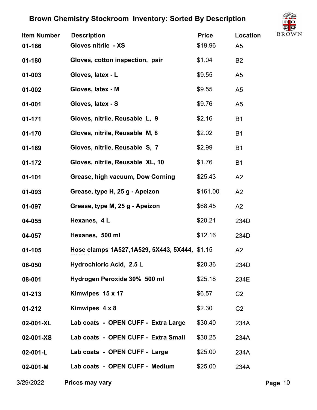

| <b>Item Number</b> | <b>Description</b>                             | <b>Price</b> | <b>BROW</b><br>Location |
|--------------------|------------------------------------------------|--------------|-------------------------|
| 01-166             | Gloves nitrile - XS                            | \$19.96      | A <sub>5</sub>          |
| 01-180             | Gloves, cotton inspection, pair                | \$1.04       | B <sub>2</sub>          |
| 01-003             | Gloves, latex - L                              | \$9.55       | A <sub>5</sub>          |
| 01-002             | Gloves, latex - M                              | \$9.55       | A <sub>5</sub>          |
| $01 - 001$         | Gloves, latex - S                              | \$9.76       | A <sub>5</sub>          |
| $01 - 171$         | Gloves, nitrile, Reusable L, 9                 | \$2.16       | <b>B1</b>               |
| 01-170             | Gloves, nitrile, Reusable M, 8                 | \$2.02       | <b>B1</b>               |
| 01-169             | Gloves, nitrile, Reusable S, 7                 | \$2.99       | <b>B1</b>               |
| 01-172             | Gloves, nitrile, Reusable XL, 10               | \$1.76       | <b>B1</b>               |
| $01 - 101$         | Grease, high vacuum, Dow Corning               | \$25.43      | A2                      |
| 01-093             | Grease, type H, 25 g - Apeizon                 | \$161.00     | A2                      |
| 01-097             | Grease, type M, 25 g - Apeizon                 | \$68.45      | A2                      |
| 04-055             | Hexanes, 4L                                    | \$20.21      | 234D                    |
| 04-057             | Hexanes, 500 ml                                | \$12.16      | 234D                    |
| $01 - 105$         | Hose clamps 1A527, 1A529, 5X443, 5X444, \$1.15 |              | A2                      |
| 06-050             | Hydrochloric Acid, 2.5 L                       | \$20.36      | 234D                    |
| 08-001             | Hydrogen Peroxide 30% 500 ml                   | \$25.18      | 234E                    |
| $01 - 213$         | Kimwipes 15 x 17                               | \$6.57       | C <sub>2</sub>          |
| $01 - 212$         | Kimwipes 4 x 8                                 | \$2.30       | C <sub>2</sub>          |
| 02-001-XL          | Lab coats - OPEN CUFF - Extra Large            | \$30.40      | 234A                    |
| 02-001-XS          | Lab coats - OPEN CUFF - Extra Small            | \$30.25      | 234A                    |
| $02-001-L$         | Lab coats - OPEN CUFF - Large                  | \$25.00      | 234A                    |
| $02 - 001 - M$     | Lab coats - OPEN CUFF - Medium                 | \$25.00      | 234A                    |
|                    |                                                |              |                         |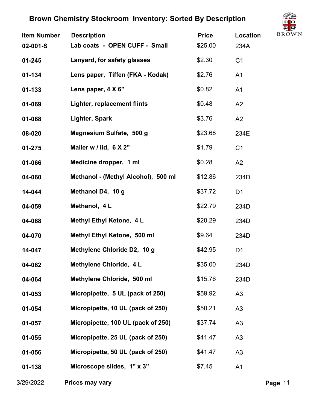

| <b>Description</b>                  | <b>Price</b>                  | $\subset \mathbb{R}$<br><b>BROW</b><br>Location |
|-------------------------------------|-------------------------------|-------------------------------------------------|
|                                     |                               | 234A                                            |
| Lanyard, for safety glasses         | \$2.30                        | C <sub>1</sub>                                  |
| Lens paper, Tiffen (FKA - Kodak)    | \$2.76                        | A <sub>1</sub>                                  |
| Lens paper, 4 X 6"                  | \$0.82                        | A <sub>1</sub>                                  |
| Lighter, replacement flints         | \$0.48                        | A2                                              |
| Lighter, Spark                      | \$3.76                        | A2                                              |
| Magnesium Sulfate, 500 g            | \$23.68                       | 234E                                            |
| Mailer w / lid, 6 X 2"              | \$1.79                        | C <sub>1</sub>                                  |
| Medicine dropper, 1 ml              | \$0.28                        | A2                                              |
| Methanol - (Methyl Alcohol), 500 ml | \$12.86                       | 234D                                            |
| Methanol D4, 10 g                   | \$37.72                       | D <sub>1</sub>                                  |
| Methanol, 4 L                       | \$22.79                       | 234D                                            |
| Methyl Ethyl Ketone, 4 L            | \$20.29                       | 234D                                            |
| Methyl Ethyl Ketone, 500 ml         | \$9.64                        | 234D                                            |
| Methylene Chloride D2, 10 g         | \$42.95                       | D <sub>1</sub>                                  |
| Methylene Chloride, 4 L             | \$35.00                       | 234D                                            |
| Methylene Chloride, 500 ml          | \$15.76                       | 234D                                            |
| Micropipette, 5 UL (pack of 250)    | \$59.92                       | A <sub>3</sub>                                  |
| Micropipette, 10 UL (pack of 250)   | \$50.21                       | A3                                              |
| Micropipette, 100 UL (pack of 250)  | \$37.74                       | A3                                              |
| Micropipette, 25 UL (pack of 250)   | \$41.47                       | A <sub>3</sub>                                  |
| Micropipette, 50 UL (pack of 250)   | \$41.47                       | A3                                              |
| Microscope slides, 1" x 3"          | \$7.45                        | A <sub>1</sub>                                  |
|                                     | Lab coats - OPEN CUFF - Small | \$25.00                                         |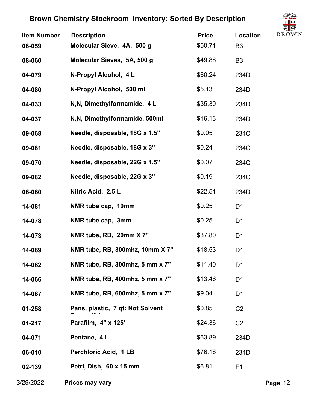

| <b>Item Number</b><br>08-059 | <b>Description</b><br>Molecular Sieve, 4A, 500 g | <b>Price</b><br>\$50.71 | Location<br>B <sub>3</sub> | 72<br><b>BROW</b> |
|------------------------------|--------------------------------------------------|-------------------------|----------------------------|-------------------|
| 08-060                       | Molecular Sieves, 5A, 500 g                      | \$49.88                 | B <sub>3</sub>             |                   |
| 04-079                       | N-Propyl Alcohol, 4L                             | \$60.24                 | 234D                       |                   |
| 04-080                       | N-Propyl Alcohol, 500 ml                         | \$5.13                  | 234D                       |                   |
| 04-033                       | N, N, Dimethylformamide, 4 L                     | \$35.30                 | 234D                       |                   |
| 04-037                       | N, N, Dimethylformamide, 500ml                   | \$16.13                 | 234D                       |                   |
| 09-068                       | Needle, disposable, 18G x 1.5"                   | \$0.05                  | 234C                       |                   |
| 09-081                       | Needle, disposable, 18G x 3"                     | \$0.24                  | 234C                       |                   |
| 09-070                       | Needle, disposable, 22G x 1.5"                   | \$0.07                  | 234C                       |                   |
| 09-082                       | Needle, disposable, 22G x 3"                     | \$0.19                  | 234C                       |                   |
| 06-060                       | Nitric Acid, 2.5 L                               | \$22.51                 | 234D                       |                   |
| 14-081                       | NMR tube cap, 10mm                               | \$0.25                  | D <sub>1</sub>             |                   |
| 14-078                       | NMR tube cap, 3mm                                | \$0.25                  | D <sub>1</sub>             |                   |
| 14-073                       | NMR tube, RB, 20mm X 7"                          | \$37.80                 | D <sub>1</sub>             |                   |
| 14-069                       | NMR tube, RB, 300mhz, 10mm X 7"                  | \$18.53                 | D <sub>1</sub>             |                   |
| 14-062                       | NMR tube, RB, 300mhz, 5 mm x 7"                  | \$11.40                 | D <sub>1</sub>             |                   |
| 14-066                       | NMR tube, RB, 400mhz, 5 mm x 7"                  | \$13.46                 | D <sub>1</sub>             |                   |
| 14-067                       | NMR tube, RB, 600mhz, 5 mm x 7"                  | \$9.04                  | D <sub>1</sub>             |                   |
| $01 - 258$                   | Pans, plastic, 7 qt: Not Solvent                 | \$0.85                  | C <sub>2</sub>             |                   |
| $01 - 217$                   | Parafilm, 4" x 125'                              | \$24.36                 | C <sub>2</sub>             |                   |
| 04-071                       | Pentane, 4 L                                     | \$63.89                 | 234D                       |                   |
| 06-010                       | <b>Perchloric Acid, 1 LB</b>                     | \$76.18                 | 234D                       |                   |
| 02-139                       | Petri, Dish, 60 x 15 mm                          | \$6.81                  | F <sub>1</sub>             |                   |
|                              |                                                  |                         |                            |                   |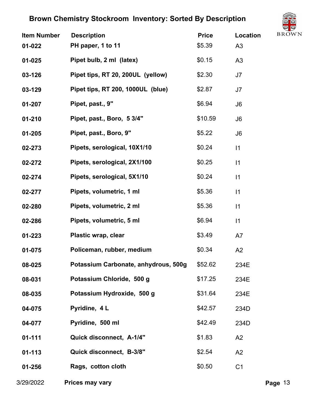

| <b>Item Number</b><br>$01 - 022$ | <b>Description</b><br>PH paper, 1 to 11 | <b>Price</b><br>\$5.39 | <b>Location</b><br>A <sub>3</sub> | $\smile$<br><b>BROW</b> |
|----------------------------------|-----------------------------------------|------------------------|-----------------------------------|-------------------------|
| $01 - 025$                       | Pipet bulb, 2 ml (latex)                | \$0.15                 | A3                                |                         |
| 03-126                           | Pipet tips, RT 20, 200UL (yellow)       | \$2.30                 | J7                                |                         |
| 03-129                           | Pipet tips, RT 200, 1000UL (blue)       | \$2.87                 | J7                                |                         |
| 01-207                           | Pipet, past., 9"                        | \$6.94                 | J <sub>6</sub>                    |                         |
| $01 - 210$                       | Pipet, past., Boro, 5 3/4"              | \$10.59                | J <sub>6</sub>                    |                         |
| $01 - 205$                       | Pipet, past., Boro, 9"                  | \$5.22                 | J <sub>6</sub>                    |                         |
| 02-273                           | Pipets, serological, 10X1/10            | \$0.24                 | 1                                 |                         |
| 02-272                           | Pipets, serological, 2X1/100            | \$0.25                 | 1                                 |                         |
| 02-274                           | Pipets, serological, 5X1/10             | \$0.24                 | 1                                 |                         |
| 02-277                           | Pipets, volumetric, 1 ml                | \$5.36                 | 1                                 |                         |
| 02-280                           | Pipets, volumetric, 2 ml                | \$5.36                 | 1                                 |                         |
| 02-286                           | Pipets, volumetric, 5 ml                | \$6.94                 | 1                                 |                         |
| $01 - 223$                       | Plastic wrap, clear                     | \$3.49                 | A7                                |                         |
| 01-075                           | Policeman, rubber, medium               | \$0.34                 | A2                                |                         |
| 08-025                           | Potassium Carbonate, anhydrous, 500g    | \$52.62                | 234E                              |                         |
| 08-031                           | Potassium Chloride, 500 g               | \$17.25                | 234E                              |                         |
| 08-035                           | Potassium Hydroxide, 500 g              | \$31.64                | 234E                              |                         |
| 04-075                           | Pyridine, 4 L                           | \$42.57                | 234D                              |                         |
| 04-077                           | Pyridine, 500 ml                        | \$42.49                | 234D                              |                         |
| $01 - 111$                       | Quick disconnect, A-1/4"                | \$1.83                 | A2                                |                         |
| $01 - 113$                       | Quick disconnect, B-3/8"                | \$2.54                 | A2                                |                         |
| 01-256                           | Rags, cotton cloth                      | \$0.50                 | C <sub>1</sub>                    |                         |
|                                  |                                         |                        |                                   |                         |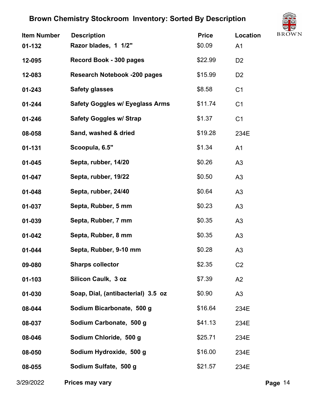

| <b>Item Number</b> | <b>Description</b>                     | <b>Price</b> | <b>BROW</b><br><b>Location</b> |
|--------------------|----------------------------------------|--------------|--------------------------------|
| 01-132             | Razor blades, 1 1/2"                   | \$0.09       | A <sub>1</sub>                 |
| 12-095             | Record Book - 300 pages                | \$22.99      | D <sub>2</sub>                 |
| 12-083             | <b>Research Notebook -200 pages</b>    | \$15.99      | D <sub>2</sub>                 |
| $01 - 243$         | <b>Safety glasses</b>                  | \$8.58       | C <sub>1</sub>                 |
| $01 - 244$         | <b>Safety Goggles w/ Eyeglass Arms</b> | \$11.74      | C <sub>1</sub>                 |
| 01-246             | <b>Safety Goggles w/ Strap</b>         | \$1.37       | C <sub>1</sub>                 |
| 08-058             | Sand, washed & dried                   | \$19.28      | 234E                           |
| 01-131             | Scoopula, 6.5"                         | \$1.34       | A <sub>1</sub>                 |
| $01 - 045$         | Septa, rubber, 14/20                   | \$0.26       | A3                             |
| $01 - 047$         | Septa, rubber, 19/22                   | \$0.50       | A3                             |
| 01-048             | Septa, rubber, 24/40                   | \$0.64       | A <sub>3</sub>                 |
| 01-037             | Septa, Rubber, 5 mm                    | \$0.23       | A3                             |
| 01-039             | Septa, Rubber, 7 mm                    | \$0.35       | A <sub>3</sub>                 |
| $01 - 042$         | Septa, Rubber, 8 mm                    | \$0.35       | A <sub>3</sub>                 |
| 01-044             | Septa, Rubber, 9-10 mm                 | \$0.28       | A <sub>3</sub>                 |
| 09-080             | <b>Sharps collector</b>                | \$2.35       | C <sub>2</sub>                 |
| 01-103             | Silicon Caulk, 3 oz                    | \$7.39       | A2                             |
| 01-030             | Soap, Dial, (antibacterial) 3.5 oz     | \$0.90       | A <sub>3</sub>                 |
| 08-044             | Sodium Bicarbonate, 500 g              | \$16.64      | 234E                           |
| 08-037             | Sodium Carbonate, 500 g                | \$41.13      | 234E                           |
| 08-046             | Sodium Chloride, 500 g                 | \$25.71      | 234E                           |
| 08-050             | Sodium Hydroxide, 500 g                | \$16.00      | 234E                           |
| 08-055             | Sodium Sulfate, 500 g                  | \$21.57      | 234E                           |
|                    |                                        |              |                                |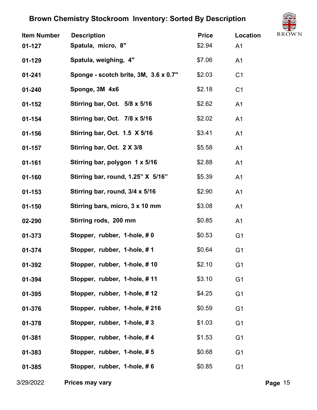

| <b>Item Number</b><br>$01 - 127$ | <b>Description</b><br>Spatula, micro, 8" | <b>Price</b><br>\$2.94 | Location<br>A <sub>1</sub> | ◡<br><b>BROW</b> |
|----------------------------------|------------------------------------------|------------------------|----------------------------|------------------|
| $01 - 129$                       | Spatula, weighing, 4"                    | \$7.06                 | A1                         |                  |
| $01 - 241$                       | Sponge - scotch brite, 3M, 3.6 x 0.7"    | \$2.03                 | C <sub>1</sub>             |                  |
| $01 - 240$                       | Sponge, 3M 4x6                           | \$2.18                 | C <sub>1</sub>             |                  |
| $01 - 152$                       | Stirring bar, Oct. 5/8 x 5/16            | \$2.62                 | A <sub>1</sub>             |                  |
| $01 - 154$                       | Stirring bar, Oct. 7/8 x 5/16            | \$2.02                 | A1                         |                  |
| $01 - 156$                       | Stirring bar, Oct. 1.5 X 5/16            | \$3.41                 | A1                         |                  |
| $01 - 157$                       | Stirring bar, Oct. 2 X 3/8               | \$5.58                 | A <sub>1</sub>             |                  |
| 01-161                           | Stirring bar, polygon 1 x 5/16           | \$2.88                 | A <sub>1</sub>             |                  |
| 01-160                           | Stirring bar, round, 1.25" X 5/16"       | \$5.39                 | A <sub>1</sub>             |                  |
| $01 - 153$                       | Stirring bar, round, 3/4 x 5/16          | \$2.90                 | A1                         |                  |
| $01 - 150$                       | Stirring bars, micro, 3 x 10 mm          | \$3.08                 | A1                         |                  |
| 02-290                           | Stirring rods, 200 mm                    | \$0.85                 | A1                         |                  |
| 01-373                           | Stopper, rubber, 1-hole, #0              | \$0.53                 | G <sub>1</sub>             |                  |
| 01-374                           | Stopper, rubber, 1-hole, #1              | \$0.64                 | G <sub>1</sub>             |                  |
| 01-392                           | Stopper, rubber, 1-hole, #10             | \$2.10                 | G <sub>1</sub>             |                  |
| 01-394                           | Stopper, rubber, 1-hole, #11             | \$3.10                 | G <sub>1</sub>             |                  |
| 01-395                           | Stopper, rubber, 1-hole, #12             | \$4.25                 | G <sub>1</sub>             |                  |
| 01-376                           | Stopper, rubber, 1-hole, #216            | \$0.59                 | G <sub>1</sub>             |                  |
| 01-378                           | Stopper, rubber, 1-hole, #3              | \$1.03                 | G <sub>1</sub>             |                  |
| 01-381                           | Stopper, rubber, 1-hole, #4              | \$1.53                 | G <sub>1</sub>             |                  |
| 01-383                           | Stopper, rubber, 1-hole, #5              | \$0.68                 | G <sub>1</sub>             |                  |
| 01-385                           | Stopper, rubber, 1-hole, #6              | \$0.85                 | G <sub>1</sub>             |                  |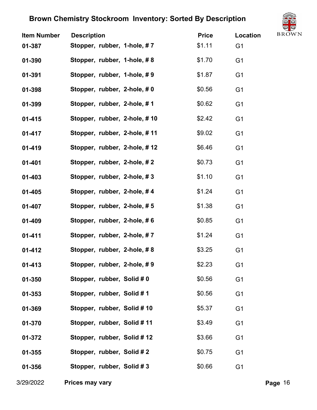

| <b>Item Number</b> | <b>Description</b>           | <b>Price</b> | Location       | ◡<br><b>BROW</b> |
|--------------------|------------------------------|--------------|----------------|------------------|
| 01-387             | Stopper, rubber, 1-hole, #7  | \$1.11       | G <sub>1</sub> |                  |
| 01-390             | Stopper, rubber, 1-hole, #8  | \$1.70       | G <sub>1</sub> |                  |
| 01-391             | Stopper, rubber, 1-hole, #9  | \$1.87       | G <sub>1</sub> |                  |
| 01-398             | Stopper, rubber, 2-hole, #0  | \$0.56       | G <sub>1</sub> |                  |
| 01-399             | Stopper, rubber, 2-hole, #1  | \$0.62       | G <sub>1</sub> |                  |
| $01 - 415$         | Stopper, rubber, 2-hole, #10 | \$2.42       | G <sub>1</sub> |                  |
| $01 - 417$         | Stopper, rubber, 2-hole, #11 | \$9.02       | G <sub>1</sub> |                  |
| $01 - 419$         | Stopper, rubber, 2-hole, #12 | \$6.46       | G <sub>1</sub> |                  |
| $01 - 401$         | Stopper, rubber, 2-hole, #2  | \$0.73       | G <sub>1</sub> |                  |
| $01 - 403$         | Stopper, rubber, 2-hole, #3  | \$1.10       | G <sub>1</sub> |                  |
| $01 - 405$         | Stopper, rubber, 2-hole, #4  | \$1.24       | G <sub>1</sub> |                  |
| 01-407             | Stopper, rubber, 2-hole, #5  | \$1.38       | G <sub>1</sub> |                  |
| 01-409             | Stopper, rubber, 2-hole, #6  | \$0.85       | G <sub>1</sub> |                  |
| $01 - 411$         | Stopper, rubber, 2-hole, #7  | \$1.24       | G <sub>1</sub> |                  |
| 01-412             | Stopper, rubber, 2-hole, #8  | \$3.25       | G <sub>1</sub> |                  |
| $01 - 413$         | Stopper, rubber, 2-hole, #9  | \$2.23       | G <sub>1</sub> |                  |
| 01-350             | Stopper, rubber, Solid # 0   | \$0.56       | G <sub>1</sub> |                  |
| $01 - 353$         | Stopper, rubber, Solid #1    | \$0.56       | G <sub>1</sub> |                  |
| 01-369             | Stopper, rubber, Solid #10   | \$5.37       | G <sub>1</sub> |                  |
| 01-370             | Stopper, rubber, Solid #11   | \$3.49       | G <sub>1</sub> |                  |
| 01-372             | Stopper, rubber, Solid #12   | \$3.66       | G <sub>1</sub> |                  |
| 01-355             | Stopper, rubber, Solid #2    | \$0.75       | G <sub>1</sub> |                  |
| 01-356             | Stopper, rubber, Solid #3    | \$0.66       | G <sub>1</sub> |                  |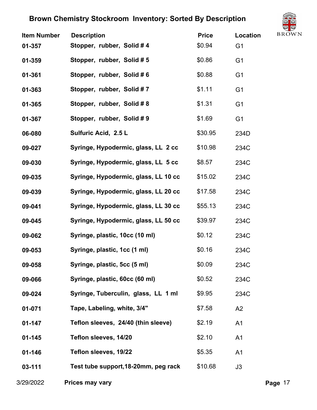

| <b>Item Number</b> | <b>Description</b>                   | <b>Price</b> | <b>Location</b> | ◡<br><b>BROW</b> |
|--------------------|--------------------------------------|--------------|-----------------|------------------|
| 01-357             | Stopper, rubber, Solid #4            | \$0.94       | G <sub>1</sub>  |                  |
| 01-359             | Stopper, rubber, Solid #5            | \$0.86       | G <sub>1</sub>  |                  |
| 01-361             | Stopper, rubber, Solid #6            | \$0.88       | G <sub>1</sub>  |                  |
| 01-363             | Stopper, rubber, Solid #7            | \$1.11       | G <sub>1</sub>  |                  |
| 01-365             | Stopper, rubber, Solid #8            | \$1.31       | G <sub>1</sub>  |                  |
| 01-367             | Stopper, rubber, Solid #9            | \$1.69       | G <sub>1</sub>  |                  |
| 06-080             | Sulfuric Acid, 2.5 L                 | \$30.95      | 234D            |                  |
| 09-027             | Syringe, Hypodermic, glass, LL 2 cc  | \$10.98      | 234C            |                  |
| 09-030             | Syringe, Hypodermic, glass, LL 5 cc  | \$8.57       | 234C            |                  |
| 09-035             | Syringe, Hypodermic, glass, LL 10 cc | \$15.02      | 234C            |                  |
| 09-039             | Syringe, Hypodermic, glass, LL 20 cc | \$17.58      | 234C            |                  |
| 09-041             | Syringe, Hypodermic, glass, LL 30 cc | \$55.13      | 234C            |                  |
| 09-045             | Syringe, Hypodermic, glass, LL 50 cc | \$39.97      | 234C            |                  |
| 09-062             | Syringe, plastic, 10cc (10 ml)       | \$0.12       | 234C            |                  |
| 09-053             | Syringe, plastic, 1cc (1 ml)         | \$0.16       | 234C            |                  |
| 09-058             | Syringe, plastic, 5cc (5 ml)         | \$0.09       | 234C            |                  |
| 09-066             | Syringe, plastic, 60cc (60 ml)       | \$0.52       | 234C            |                  |
| 09-024             | Syringe, Tuberculin, glass, LL 1 ml  | \$9.95       | 234C            |                  |
| 01-071             | Tape, Labeling, white, 3/4"          | \$7.58       | A2              |                  |
| $01 - 147$         | Teflon sleeves, 24/40 (thin sleeve)  | \$2.19       | A <sub>1</sub>  |                  |
| $01 - 145$         | Teflon sleeves, 14/20                | \$2.10       | A <sub>1</sub>  |                  |
| $01 - 146$         | Teflon sleeves, 19/22                | \$5.35       | A1              |                  |
| 03-111             | Test tube support, 18-20mm, peg rack | \$10.68      | J3              |                  |
|                    |                                      |              |                 |                  |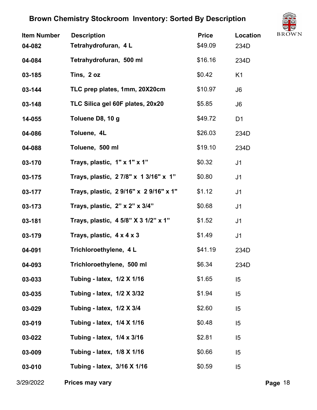

| <b>Item Number</b><br>04-082 | <b>Description</b><br>Tetrahydrofuran, 4 L | <b>Price</b><br>\$49.09 | Location<br>234D | $\sum$<br><b>BROW</b> |
|------------------------------|--------------------------------------------|-------------------------|------------------|-----------------------|
| 04-084                       | Tetrahydrofuran, 500 ml                    | \$16.16                 | 234D             |                       |
| 03-185                       | Tins, 2 oz                                 | \$0.42                  | K <sub>1</sub>   |                       |
| 03-144                       | TLC prep plates, 1mm, 20X20cm              | \$10.97                 | J6               |                       |
| 03-148                       | TLC Silica gel 60F plates, 20x20           | \$5.85                  | J <sub>6</sub>   |                       |
| 14-055                       | Toluene D8, 10 g                           | \$49.72                 | D <sub>1</sub>   |                       |
| 04-086                       | Toluene, 4L                                | \$26.03                 | 234D             |                       |
| 04-088                       | Toluene, 500 ml                            | \$19.10                 | 234D             |                       |
| 03-170                       | Trays, plastic, 1" x 1" x 1"               | \$0.32                  | J <sub>1</sub>   |                       |
| 03-175                       | Trays, plastic, 2 7/8" x 1 3/16" x 1"      | \$0.80                  | J <sub>1</sub>   |                       |
| 03-177                       | Trays, plastic, 29/16" x 29/16" x 1"       | \$1.12                  | J <sub>1</sub>   |                       |
| 03-173                       | Trays, plastic, $2" \times 2" \times 3/4"$ | \$0.68                  | J <sub>1</sub>   |                       |
| 03-181                       | Trays, plastic, 4 5/8" X 3 1/2" x 1"       | \$1.52                  | J <sub>1</sub>   |                       |
| 03-179                       | Trays, plastic, 4 x 4 x 3                  | \$1.49                  | J <sub>1</sub>   |                       |
| 04-091                       | Trichloroethylene, 4 L                     | \$41.19                 | 234D             |                       |
| 04-093                       | Trichloroethylene, 500 ml                  | \$6.34                  | 234D             |                       |
| 03-033                       | Tubing - latex, 1/2 X 1/16                 | \$1.65                  | 15               |                       |
| 03-035                       | Tubing - latex, 1/2 X 3/32                 | \$1.94                  | 15               |                       |
| 03-029                       | Tubing - latex, 1/2 X 3/4                  | \$2.60                  | 5                |                       |
| 03-019                       | Tubing - latex, 1/4 X 1/16                 | \$0.48                  | 15               |                       |
| 03-022                       | Tubing - latex, 1/4 x 3/16                 | \$2.81                  | 15               |                       |
| 03-009                       | Tubing - latex, 1/8 X 1/16                 | \$0.66                  | 5                |                       |
| 03-010                       | Tubing - latex, 3/16 X 1/16                | \$0.59                  | 15               |                       |
|                              |                                            |                         |                  |                       |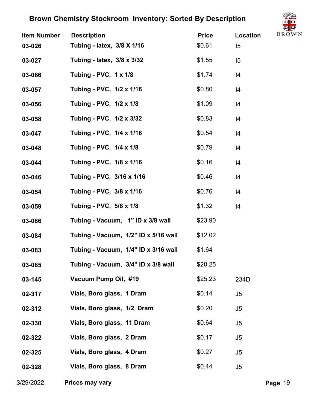

| <b>Item Number</b> | <b>Description</b>                   | <b>Price</b> | $\cup$<br><b>BROW</b><br>Location |
|--------------------|--------------------------------------|--------------|-----------------------------------|
| 03-026             | Tubing - latex, 3/8 X 1/16           | \$0.61       | 15                                |
| 03-027             | Tubing - latex, 3/8 x 3/32           | \$1.55       | 15                                |
| 03-066             | <b>Tubing - PVC, 1 x 1/8</b>         | \$1.74       | 4                                 |
| 03-057             | Tubing - PVC, 1/2 x 1/16             | \$0.80       | 14                                |
| 03-056             | Tubing - PVC, 1/2 x 1/8              | \$1.09       | 4                                 |
| 03-058             | Tubing - PVC, 1/2 x 3/32             | \$0.83       | 4                                 |
| 03-047             | Tubing - PVC, 1/4 x 1/16             | \$0.54       | 4                                 |
| 03-048             | Tubing - PVC, 1/4 x 1/8              | \$0.79       | 14                                |
| 03-044             | Tubing - PVC, 1/8 x 1/16             | \$0.16       | 4                                 |
| 03-046             | Tubing - PVC, 3/16 x 1/16            | \$0.46       | 14                                |
| 03-054             | Tubing - PVC, 3/8 x 1/16             | \$0.76       | 4                                 |
| 03-059             | Tubing - PVC, 5/8 x 1/8              | \$1.32       | 4                                 |
| 03-086             | Tubing - Vacuum, 1" ID x 3/8 wall    | \$23.90      |                                   |
| 03-084             | Tubing - Vacuum, 1/2" ID x 5/16 wall | \$12.02      |                                   |
| 03-083             | Tubing - Vacuum, 1/4" ID x 3/16 wall | \$1.64       |                                   |
| 03-085             | Tubing - Vacuum, 3/4" ID x 3/8 wall  | \$20.25      |                                   |
| 03-145             | Vacuum Pump Oil, #19                 | \$25.23      | 234D                              |
| 02-317             | Vials, Boro glass, 1 Dram            | \$0.14       | J5                                |
| 02-312             | Vials, Boro glass, 1/2 Dram          | \$0.20       | J5                                |
| 02-330             | Vials, Boro glass, 11 Dram           | \$0.64       | J5                                |
| 02-322             | Vials, Boro glass, 2 Dram            | \$0.17       | J5                                |
| 02-325             | Vials, Boro glass, 4 Dram            | \$0.27       | J <sub>5</sub>                    |
| 02-328             | Vials, Boro glass, 8 Dram            | \$0.44       | J <sub>5</sub>                    |
|                    |                                      |              |                                   |